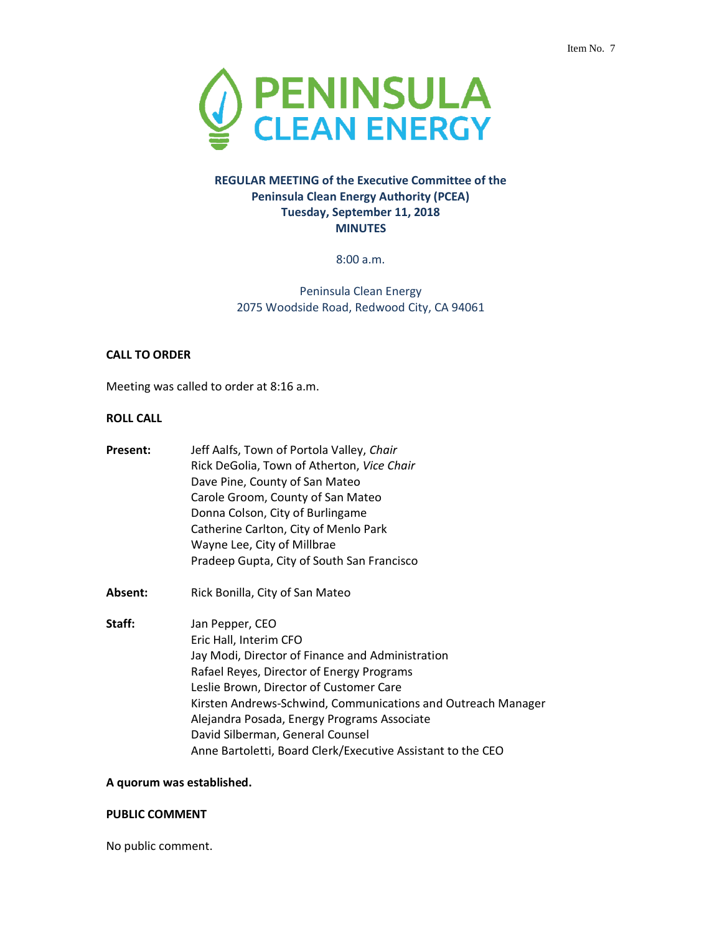

# **REGULAR MEETING of the Executive Committee of the Peninsula Clean Energy Authority (PCEA) Tuesday, September 11, 2018 MINUTES**

8:00 a.m.

Peninsula Clean Energy 2075 Woodside Road, Redwood City, CA 94061

### **CALL TO ORDER**

Meeting was called to order at 8:16 a.m.

### **ROLL CALL**

| Present: | Jeff Aalfs, Town of Portola Valley, Chair<br>Rick DeGolia, Town of Atherton, Vice Chair<br>Dave Pine, County of San Mateo<br>Carole Groom, County of San Mateo<br>Donna Colson, City of Burlingame<br>Catherine Carlton, City of Menlo Park<br>Wayne Lee, City of Millbrae                                                                                                                              |
|----------|---------------------------------------------------------------------------------------------------------------------------------------------------------------------------------------------------------------------------------------------------------------------------------------------------------------------------------------------------------------------------------------------------------|
|          | Pradeep Gupta, City of South San Francisco                                                                                                                                                                                                                                                                                                                                                              |
| Absent:  | Rick Bonilla, City of San Mateo                                                                                                                                                                                                                                                                                                                                                                         |
| Staff:   | Jan Pepper, CEO<br>Eric Hall, Interim CFO<br>Jay Modi, Director of Finance and Administration<br>Rafael Reyes, Director of Energy Programs<br>Leslie Brown, Director of Customer Care<br>Kirsten Andrews-Schwind, Communications and Outreach Manager<br>Alejandra Posada, Energy Programs Associate<br>David Silberman, General Counsel<br>Anne Bartoletti, Board Clerk/Executive Assistant to the CEO |

### **A quorum was established.**

### **PUBLIC COMMENT**

No public comment.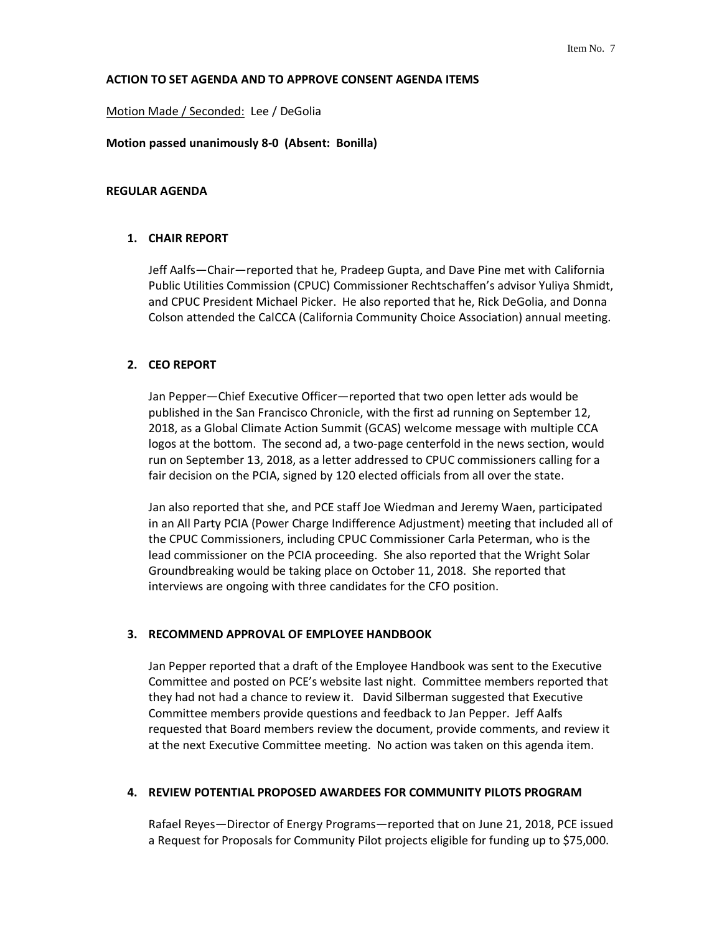### **ACTION TO SET AGENDA AND TO APPROVE CONSENT AGENDA ITEMS**

### Motion Made / Seconded: Lee / DeGolia

#### **Motion passed unanimously 8-0 (Absent: Bonilla)**

### **REGULAR AGENDA**

### **1. CHAIR REPORT**

Jeff Aalfs—Chair—reported that he, Pradeep Gupta, and Dave Pine met with California Public Utilities Commission (CPUC) Commissioner Rechtschaffen's advisor Yuliya Shmidt, and CPUC President Michael Picker. He also reported that he, Rick DeGolia, and Donna Colson attended the CalCCA (California Community Choice Association) annual meeting.

### **2. CEO REPORT**

Jan Pepper—Chief Executive Officer—reported that two open letter ads would be published in the San Francisco Chronicle, with the first ad running on September 12, 2018, as a Global Climate Action Summit (GCAS) welcome message with multiple CCA logos at the bottom. The second ad, a two-page centerfold in the news section, would run on September 13, 2018, as a letter addressed to CPUC commissioners calling for a fair decision on the PCIA, signed by 120 elected officials from all over the state.

Jan also reported that she, and PCE staff Joe Wiedman and Jeremy Waen, participated in an All Party PCIA (Power Charge Indifference Adjustment) meeting that included all of the CPUC Commissioners, including CPUC Commissioner Carla Peterman, who is the lead commissioner on the PCIA proceeding. She also reported that the Wright Solar Groundbreaking would be taking place on October 11, 2018. She reported that interviews are ongoing with three candidates for the CFO position.

### **3. RECOMMEND APPROVAL OF EMPLOYEE HANDBOOK**

Jan Pepper reported that a draft of the Employee Handbook was sent to the Executive Committee and posted on PCE's website last night. Committee members reported that they had not had a chance to review it. David Silberman suggested that Executive Committee members provide questions and feedback to Jan Pepper. Jeff Aalfs requested that Board members review the document, provide comments, and review it at the next Executive Committee meeting. No action was taken on this agenda item.

#### **4. REVIEW POTENTIAL PROPOSED AWARDEES FOR COMMUNITY PILOTS PROGRAM**

Rafael Reyes—Director of Energy Programs—reported that on June 21, 2018, PCE issued a Request for Proposals for Community Pilot projects eligible for funding up to \$75,000.